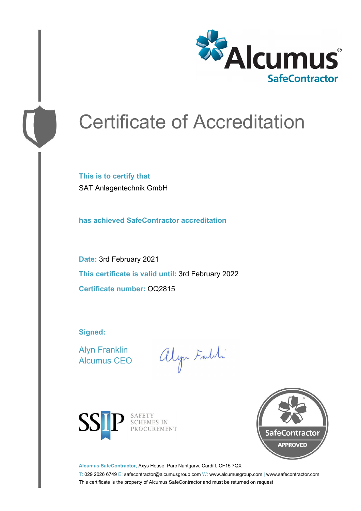

# Certificate of Accreditation

**This is to certify that** SAT Anlagentechnik GmbH

**has achieved SafeContractor accreditation**

**Date:** 3rd February 2021 **This certificate is valid until:** 3rd February 2022 **Certificate number:** OQ2815

**Signed:**

Alyn Franklin Alcumus CEO

alyn Faith



SAFETY<br>SCHEMES IN PROCUREMENT



**Alcumus SafeContractor,** Axys House, Parc Nantgarw, Cardiff, CF15 7QX

T: 029 2026 6749 E: safecontractor@alcumusgroup.com W: www.alcumusgroup.com | www.safecontractor.com This certificate is the property of Alcumus SafeContractor and must be returned on request